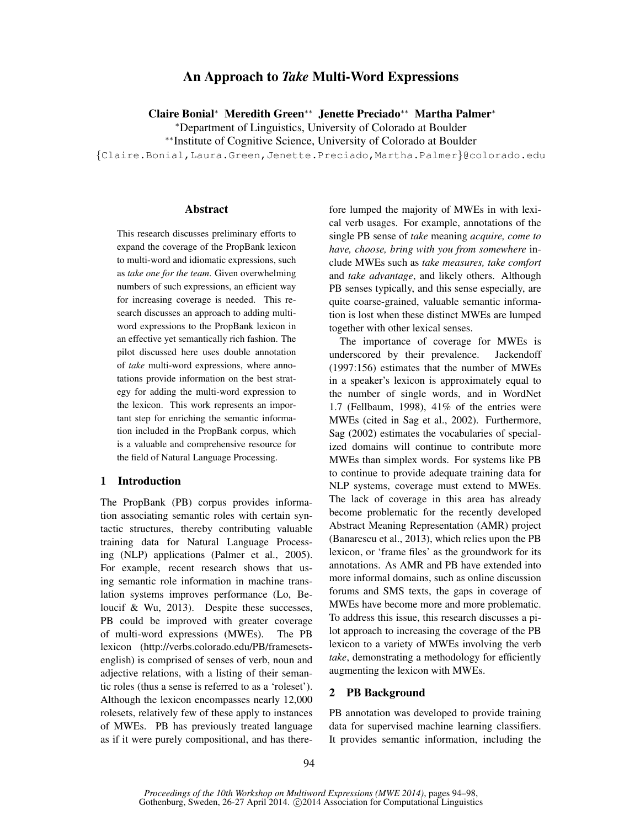# An Approach to *Take* Multi-Word Expressions

Claire Bonial<sup>∗</sup> Meredith Green∗∗ Jenette Preciado∗∗ Martha Palmer<sup>∗</sup>

<sup>∗</sup>Department of Linguistics, University of Colorado at Boulder

∗∗Institute of Cognitive Science, University of Colorado at Boulder

{Claire.Bonial,Laura.Green,Jenette.Preciado,Martha.Palmer}@colorado.edu

#### Abstract

This research discusses preliminary efforts to expand the coverage of the PropBank lexicon to multi-word and idiomatic expressions, such as *take one for the team*. Given overwhelming numbers of such expressions, an efficient way for increasing coverage is needed. This research discusses an approach to adding multiword expressions to the PropBank lexicon in an effective yet semantically rich fashion. The pilot discussed here uses double annotation of *take* multi-word expressions, where annotations provide information on the best strategy for adding the multi-word expression to the lexicon. This work represents an important step for enriching the semantic information included in the PropBank corpus, which is a valuable and comprehensive resource for the field of Natural Language Processing.

### 1 Introduction

The PropBank (PB) corpus provides information associating semantic roles with certain syntactic structures, thereby contributing valuable training data for Natural Language Processing (NLP) applications (Palmer et al., 2005). For example, recent research shows that using semantic role information in machine translation systems improves performance (Lo, Beloucif & Wu, 2013). Despite these successes, PB could be improved with greater coverage of multi-word expressions (MWEs). The PB lexicon (http://verbs.colorado.edu/PB/framesetsenglish) is comprised of senses of verb, noun and adjective relations, with a listing of their semantic roles (thus a sense is referred to as a 'roleset'). Although the lexicon encompasses nearly 12,000 rolesets, relatively few of these apply to instances of MWEs. PB has previously treated language as if it were purely compositional, and has therefore lumped the majority of MWEs in with lexical verb usages. For example, annotations of the single PB sense of *take* meaning *acquire, come to have, choose, bring with you from somewhere* include MWEs such as *take measures, take comfort* and *take advantage*, and likely others. Although PB senses typically, and this sense especially, are quite coarse-grained, valuable semantic information is lost when these distinct MWEs are lumped together with other lexical senses.

The importance of coverage for MWEs is underscored by their prevalence. Jackendoff (1997:156) estimates that the number of MWEs in a speaker's lexicon is approximately equal to the number of single words, and in WordNet 1.7 (Fellbaum, 1998), 41% of the entries were MWEs (cited in Sag et al., 2002). Furthermore, Sag (2002) estimates the vocabularies of specialized domains will continue to contribute more MWEs than simplex words. For systems like PB to continue to provide adequate training data for NLP systems, coverage must extend to MWEs. The lack of coverage in this area has already become problematic for the recently developed Abstract Meaning Representation (AMR) project (Banarescu et al., 2013), which relies upon the PB lexicon, or 'frame files' as the groundwork for its annotations. As AMR and PB have extended into more informal domains, such as online discussion forums and SMS texts, the gaps in coverage of MWEs have become more and more problematic. To address this issue, this research discusses a pilot approach to increasing the coverage of the PB lexicon to a variety of MWEs involving the verb *take*, demonstrating a methodology for efficiently augmenting the lexicon with MWEs.

### 2 PB Background

PB annotation was developed to provide training data for supervised machine learning classifiers. It provides semantic information, including the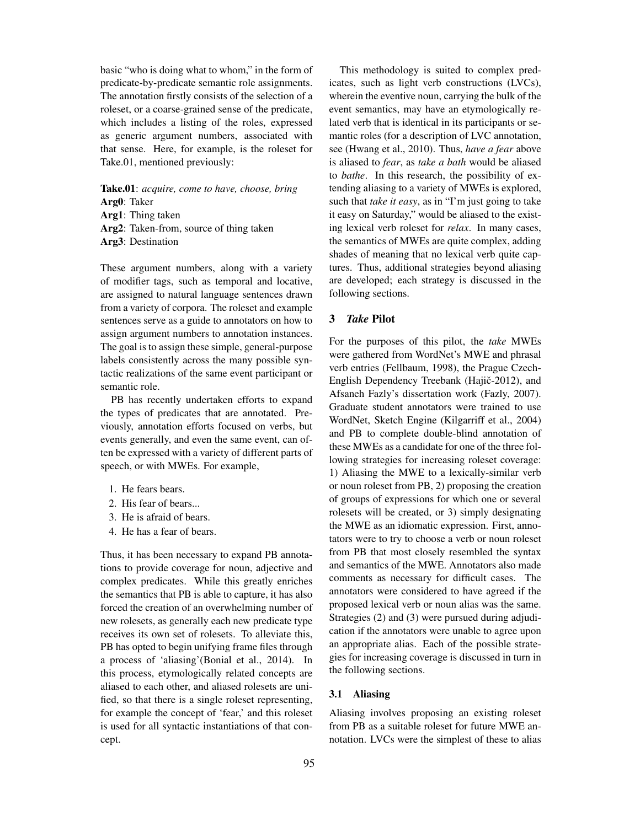basic "who is doing what to whom," in the form of predicate-by-predicate semantic role assignments. The annotation firstly consists of the selection of a roleset, or a coarse-grained sense of the predicate, which includes a listing of the roles, expressed as generic argument numbers, associated with that sense. Here, for example, is the roleset for Take.01, mentioned previously:

Take.01: *acquire, come to have, choose, bring* Arg0: Taker Arg1: Thing taken Arg2: Taken-from, source of thing taken Arg3: Destination

These argument numbers, along with a variety of modifier tags, such as temporal and locative, are assigned to natural language sentences drawn from a variety of corpora. The roleset and example sentences serve as a guide to annotators on how to assign argument numbers to annotation instances. The goal is to assign these simple, general-purpose labels consistently across the many possible syntactic realizations of the same event participant or semantic role.

PB has recently undertaken efforts to expand the types of predicates that are annotated. Previously, annotation efforts focused on verbs, but events generally, and even the same event, can often be expressed with a variety of different parts of speech, or with MWEs. For example,

- 1. He fears bears.
- 2. His fear of bears...
- 3. He is afraid of bears.
- 4. He has a fear of bears.

Thus, it has been necessary to expand PB annotations to provide coverage for noun, adjective and complex predicates. While this greatly enriches the semantics that PB is able to capture, it has also forced the creation of an overwhelming number of new rolesets, as generally each new predicate type receives its own set of rolesets. To alleviate this, PB has opted to begin unifying frame files through a process of 'aliasing'(Bonial et al., 2014). In this process, etymologically related concepts are aliased to each other, and aliased rolesets are unified, so that there is a single roleset representing, for example the concept of 'fear,' and this roleset is used for all syntactic instantiations of that concept.

This methodology is suited to complex predicates, such as light verb constructions (LVCs), wherein the eventive noun, carrying the bulk of the event semantics, may have an etymologically related verb that is identical in its participants or semantic roles (for a description of LVC annotation, see (Hwang et al., 2010). Thus, *have a fear* above is aliased to *fear*, as *take a bath* would be aliased to *bathe*. In this research, the possibility of extending aliasing to a variety of MWEs is explored, such that *take it easy*, as in "I'm just going to take it easy on Saturday," would be aliased to the existing lexical verb roleset for *relax*. In many cases, the semantics of MWEs are quite complex, adding shades of meaning that no lexical verb quite captures. Thus, additional strategies beyond aliasing are developed; each strategy is discussed in the following sections.

### 3 *Take* Pilot

For the purposes of this pilot, the *take* MWEs were gathered from WordNet's MWE and phrasal verb entries (Fellbaum, 1998), the Prague Czech-English Dependency Treebank (Hajič-2012), and Afsaneh Fazly's dissertation work (Fazly, 2007). Graduate student annotators were trained to use WordNet, Sketch Engine (Kilgarriff et al., 2004) and PB to complete double-blind annotation of these MWEs as a candidate for one of the three following strategies for increasing roleset coverage: 1) Aliasing the MWE to a lexically-similar verb or noun roleset from PB, 2) proposing the creation of groups of expressions for which one or several rolesets will be created, or 3) simply designating the MWE as an idiomatic expression. First, annotators were to try to choose a verb or noun roleset from PB that most closely resembled the syntax and semantics of the MWE. Annotators also made comments as necessary for difficult cases. The annotators were considered to have agreed if the proposed lexical verb or noun alias was the same. Strategies (2) and (3) were pursued during adjudication if the annotators were unable to agree upon an appropriate alias. Each of the possible strategies for increasing coverage is discussed in turn in the following sections.

#### 3.1 Aliasing

Aliasing involves proposing an existing roleset from PB as a suitable roleset for future MWE annotation. LVCs were the simplest of these to alias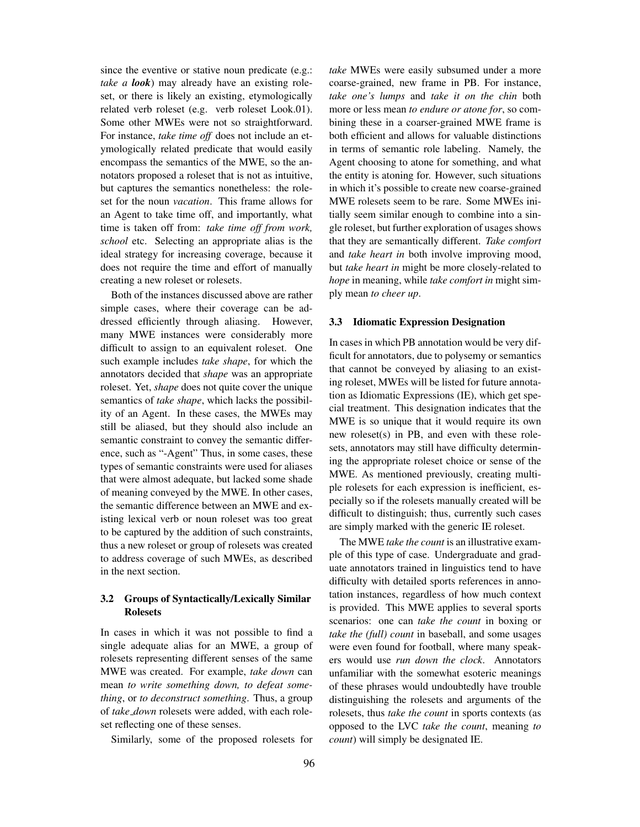since the eventive or stative noun predicate (e.g.: *take a look*) may already have an existing roleset, or there is likely an existing, etymologically related verb roleset (e.g. verb roleset Look.01). Some other MWEs were not so straightforward. For instance, *take time off* does not include an etymologically related predicate that would easily encompass the semantics of the MWE, so the annotators proposed a roleset that is not as intuitive, but captures the semantics nonetheless: the roleset for the noun *vacation*. This frame allows for an Agent to take time off, and importantly, what time is taken off from: *take time off from work, school* etc. Selecting an appropriate alias is the ideal strategy for increasing coverage, because it does not require the time and effort of manually creating a new roleset or rolesets.

Both of the instances discussed above are rather simple cases, where their coverage can be addressed efficiently through aliasing. However, many MWE instances were considerably more difficult to assign to an equivalent roleset. One such example includes *take shape*, for which the annotators decided that *shape* was an appropriate roleset. Yet, *shape* does not quite cover the unique semantics of *take shape*, which lacks the possibility of an Agent. In these cases, the MWEs may still be aliased, but they should also include an semantic constraint to convey the semantic difference, such as "-Agent" Thus, in some cases, these types of semantic constraints were used for aliases that were almost adequate, but lacked some shade of meaning conveyed by the MWE. In other cases, the semantic difference between an MWE and existing lexical verb or noun roleset was too great to be captured by the addition of such constraints, thus a new roleset or group of rolesets was created to address coverage of such MWEs, as described in the next section.

## 3.2 Groups of Syntactically/Lexically Similar Rolesets

In cases in which it was not possible to find a single adequate alias for an MWE, a group of rolesets representing different senses of the same MWE was created. For example, *take down* can mean *to write something down, to defeat something*, or *to deconstruct something*. Thus, a group of *take down* rolesets were added, with each roleset reflecting one of these senses.

Similarly, some of the proposed rolesets for

*take* MWEs were easily subsumed under a more coarse-grained, new frame in PB. For instance, *take one's lumps* and *take it on the chin* both more or less mean *to endure or atone for*, so combining these in a coarser-grained MWE frame is both efficient and allows for valuable distinctions in terms of semantic role labeling. Namely, the Agent choosing to atone for something, and what the entity is atoning for. However, such situations in which it's possible to create new coarse-grained MWE rolesets seem to be rare. Some MWEs initially seem similar enough to combine into a single roleset, but further exploration of usages shows that they are semantically different. *Take comfort* and *take heart in* both involve improving mood, but *take heart in* might be more closely-related to *hope* in meaning, while *take comfort in* might simply mean *to cheer up*.

#### 3.3 Idiomatic Expression Designation

In cases in which PB annotation would be very difficult for annotators, due to polysemy or semantics that cannot be conveyed by aliasing to an existing roleset, MWEs will be listed for future annotation as Idiomatic Expressions (IE), which get special treatment. This designation indicates that the MWE is so unique that it would require its own new roleset(s) in PB, and even with these rolesets, annotators may still have difficulty determining the appropriate roleset choice or sense of the MWE. As mentioned previously, creating multiple rolesets for each expression is inefficient, especially so if the rolesets manually created will be difficult to distinguish; thus, currently such cases are simply marked with the generic IE roleset.

The MWE *take the count* is an illustrative example of this type of case. Undergraduate and graduate annotators trained in linguistics tend to have difficulty with detailed sports references in annotation instances, regardless of how much context is provided. This MWE applies to several sports scenarios: one can *take the count* in boxing or *take the (full) count* in baseball, and some usages were even found for football, where many speakers would use *run down the clock*. Annotators unfamiliar with the somewhat esoteric meanings of these phrases would undoubtedly have trouble distinguishing the rolesets and arguments of the rolesets, thus *take the count* in sports contexts (as opposed to the LVC *take the count*, meaning *to count*) will simply be designated IE.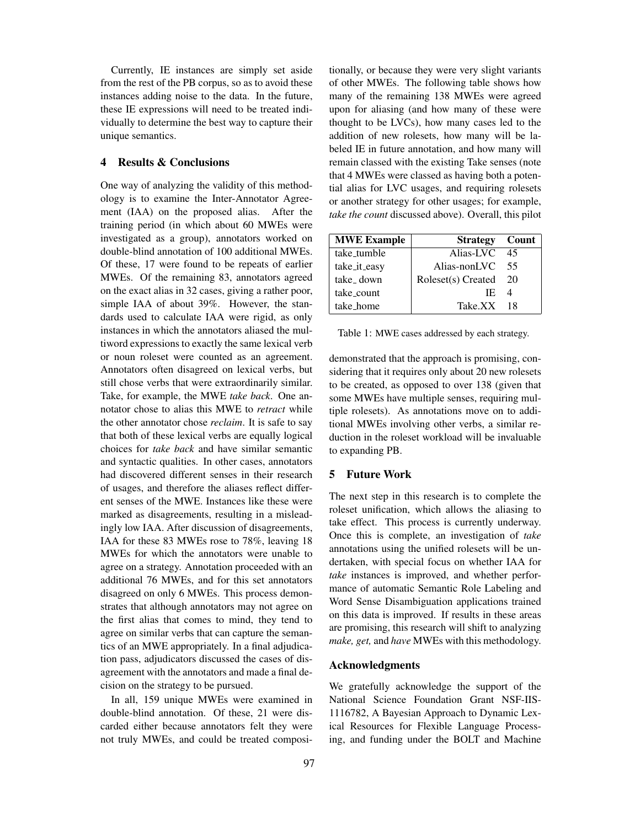Currently, IE instances are simply set aside from the rest of the PB corpus, so as to avoid these instances adding noise to the data. In the future, these IE expressions will need to be treated individually to determine the best way to capture their unique semantics.

### 4 Results & Conclusions

One way of analyzing the validity of this methodology is to examine the Inter-Annotator Agreement (IAA) on the proposed alias. After the training period (in which about 60 MWEs were investigated as a group), annotators worked on double-blind annotation of 100 additional MWEs. Of these, 17 were found to be repeats of earlier MWEs. Of the remaining 83, annotators agreed on the exact alias in 32 cases, giving a rather poor, simple IAA of about 39%. However, the standards used to calculate IAA were rigid, as only instances in which the annotators aliased the multiword expressions to exactly the same lexical verb or noun roleset were counted as an agreement. Annotators often disagreed on lexical verbs, but still chose verbs that were extraordinarily similar. Take, for example, the MWE *take back*. One annotator chose to alias this MWE to *retract* while the other annotator chose *reclaim*. It is safe to say that both of these lexical verbs are equally logical choices for *take back* and have similar semantic and syntactic qualities. In other cases, annotators had discovered different senses in their research of usages, and therefore the aliases reflect different senses of the MWE. Instances like these were marked as disagreements, resulting in a misleadingly low IAA. After discussion of disagreements, IAA for these 83 MWEs rose to 78%, leaving 18 MWEs for which the annotators were unable to agree on a strategy. Annotation proceeded with an additional 76 MWEs, and for this set annotators disagreed on only 6 MWEs. This process demonstrates that although annotators may not agree on the first alias that comes to mind, they tend to agree on similar verbs that can capture the semantics of an MWE appropriately. In a final adjudication pass, adjudicators discussed the cases of disagreement with the annotators and made a final decision on the strategy to be pursued.

In all, 159 unique MWEs were examined in double-blind annotation. Of these, 21 were discarded either because annotators felt they were not truly MWEs, and could be treated compositionally, or because they were very slight variants of other MWEs. The following table shows how many of the remaining 138 MWEs were agreed upon for aliasing (and how many of these were thought to be LVCs), how many cases led to the addition of new rolesets, how many will be labeled IE in future annotation, and how many will remain classed with the existing Take senses (note that 4 MWEs were classed as having both a potential alias for LVC usages, and requiring rolesets or another strategy for other usages; for example, *take the count* discussed above). Overall, this pilot

| <b>MWE Example</b> | <b>Strategy</b> Count |    |
|--------------------|-----------------------|----|
| take_tumble        | Alias-LVC             | 45 |
| take_it_easy       | Alias-nonLVC          | 55 |
| take down          | Roleset(s) Created    | 20 |
| take_count         | IE.                   |    |
| take_home          | Take.XX               | 18 |

Table 1: MWE cases addressed by each strategy.

demonstrated that the approach is promising, considering that it requires only about 20 new rolesets to be created, as opposed to over 138 (given that some MWEs have multiple senses, requiring multiple rolesets). As annotations move on to additional MWEs involving other verbs, a similar reduction in the roleset workload will be invaluable to expanding PB.

### 5 Future Work

The next step in this research is to complete the roleset unification, which allows the aliasing to take effect. This process is currently underway. Once this is complete, an investigation of *take* annotations using the unified rolesets will be undertaken, with special focus on whether IAA for *take* instances is improved, and whether performance of automatic Semantic Role Labeling and Word Sense Disambiguation applications trained on this data is improved. If results in these areas are promising, this research will shift to analyzing *make, get,* and *have* MWEs with this methodology.

## Acknowledgments

We gratefully acknowledge the support of the National Science Foundation Grant NSF-IIS-1116782, A Bayesian Approach to Dynamic Lexical Resources for Flexible Language Processing, and funding under the BOLT and Machine